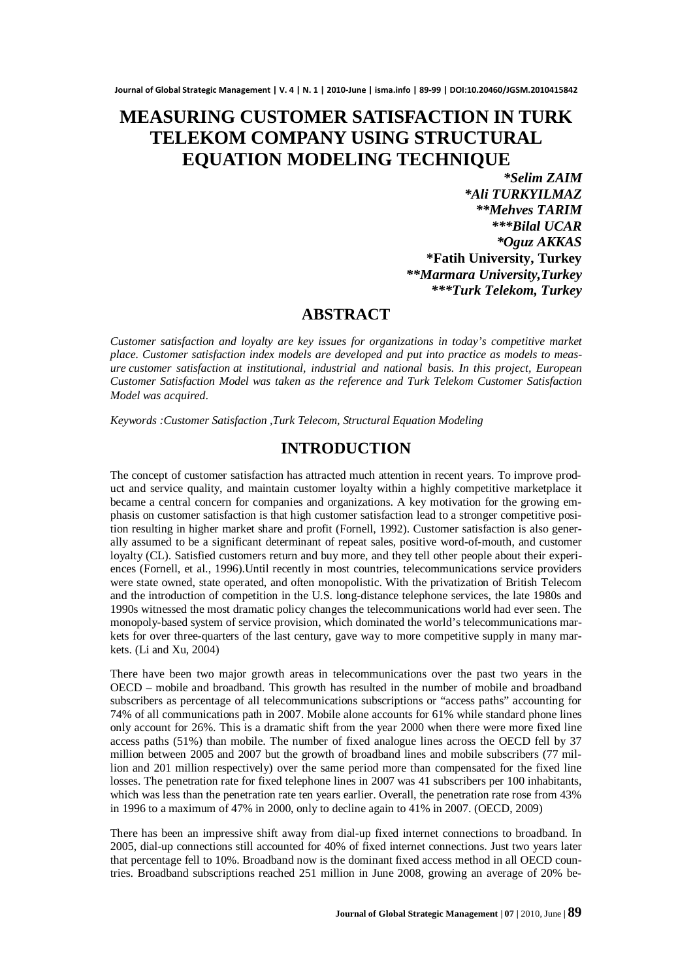# **MEASURING CUSTOMER SATISFACTION IN TURK TELEKOM COMPANY USING STRUCTURAL EQUATION MODELING TECHNIQUE**

*\*Selim ZAIM \*Ali TURKYILMAZ \*\*Mehves TARIM \*\*\*Bilal UCAR \*Oguz AKKAS* **\*Fatih University, Turkey** *\*\*Marmara University,Turkey \*\*\*Turk Telekom, Turkey*

#### **ABSTRACT**

*Customer satisfaction and loyalty are key issues for organizations in today's competitive market place. Customer satisfaction index models are developed and put into practice as models to measure customer satisfaction at institutional, industrial and national basis. In this project, European Customer Satisfaction Model was taken as the reference and Turk Telekom Customer Satisfaction Model was acquired*.

*Keywords :Customer Satisfaction ,Turk Telecom, Structural Equation Modeling*

#### **INTRODUCTION**

The concept of customer satisfaction has attracted much attention in recent years. To improve product and service quality, and maintain customer loyalty within a highly competitive marketplace it became a central concern for companies and organizations. A key motivation for the growing emphasis on customer satisfaction is that high customer satisfaction lead to a stronger competitive position resulting in higher market share and profit (Fornell, 1992). Customer satisfaction is also generally assumed to be a significant determinant of repeat sales, positive word-of-mouth, and customer loyalty (CL). Satisfied customers return and buy more, and they tell other people about their experiences (Fornell, et al., 1996).Until recently in most countries, telecommunications service providers were state owned, state operated, and often monopolistic. With the privatization of British Telecom and the introduction of competition in the U.S. long-distance telephone services, the late 1980s and 1990s witnessed the most dramatic policy changes the telecommunications world had ever seen. The monopoly-based system of service provision, which dominated the world's telecommunications markets for over three-quarters of the last century, gave way to more competitive supply in many markets. (Li and Xu, 2004)

There have been two major growth areas in telecommunications over the past two years in the OECD – mobile and broadband. This growth has resulted in the number of mobile and broadband subscribers as percentage of all telecommunications subscriptions or "access paths" accounting for 74% of all communications path in 2007. Mobile alone accounts for 61% while standard phone lines only account for 26%. This is a dramatic shift from the year 2000 when there were more fixed line access paths (51%) than mobile. The number of fixed analogue lines across the OECD fell by 37 million between 2005 and 2007 but the growth of broadband lines and mobile subscribers (77 million and 201 million respectively) over the same period more than compensated for the fixed line losses. The penetration rate for fixed telephone lines in 2007 was 41 subscribers per 100 inhabitants, which was less than the penetration rate ten years earlier. Overall, the penetration rate rose from 43% in 1996 to a maximum of 47% in 2000, only to decline again to 41% in 2007. (OECD, 2009)

There has been an impressive shift away from dial-up fixed internet connections to broadband. In 2005, dial-up connections still accounted for 40% of fixed internet connections. Just two years later that percentage fell to 10%. Broadband now is the dominant fixed access method in all OECD countries. Broadband subscriptions reached 251 million in June 2008, growing an average of 20% be-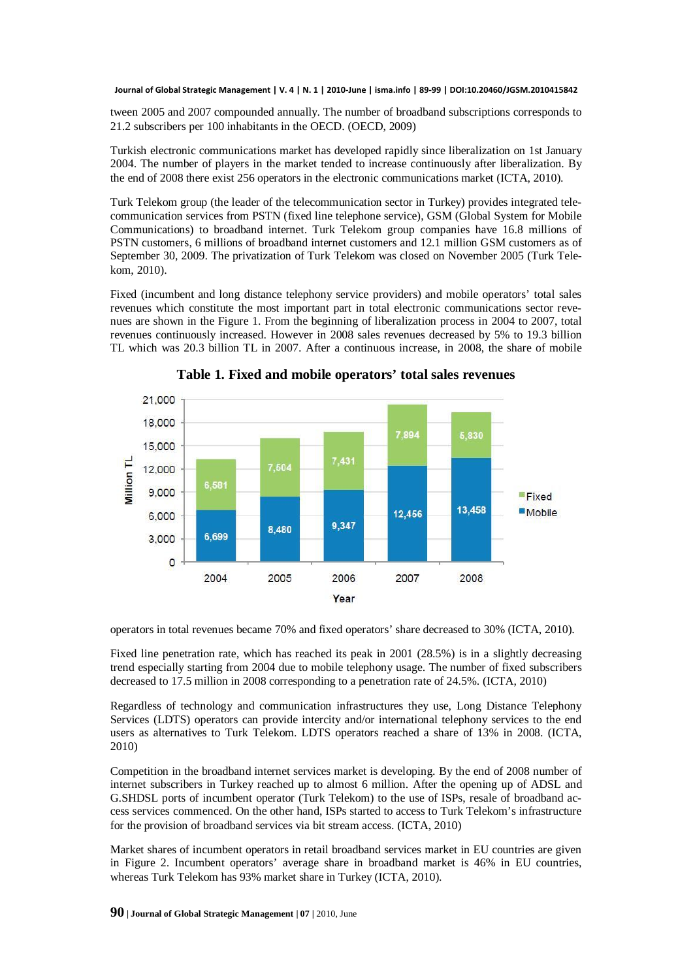tween 2005 and 2007 compounded annually. The number of broadband subscriptions corresponds to 21.2 subscribers per 100 inhabitants in the OECD. (OECD, 2009)

Turkish electronic communications market has developed rapidly since liberalization on 1st January 2004. The number of players in the market tended to increase continuously after liberalization. By the end of 2008 there exist 256 operators in the electronic communications market (ICTA, 2010).

Turk Telekom group (the leader of the telecommunication sector in Turkey) provides integrated telecommunication services from PSTN (fixed line telephone service), GSM (Global System for Mobile Communications) to broadband internet. Turk Telekom group companies have 16.8 millions of PSTN customers, 6 millions of broadband internet customers and 12.1 million GSM customers as of September 30, 2009. The privatization of Turk Telekom was closed on November 2005 (Turk Telekom, 2010).

Fixed (incumbent and long distance telephony service providers) and mobile operators' total sales revenues which constitute the most important part in total electronic communications sector revenues are shown in the Figure 1. From the beginning of liberalization process in 2004 to 2007, total revenues continuously increased. However in 2008 sales revenues decreased by 5% to 19.3 billion TL which was 20.3 billion TL in 2007. After a continuous increase, in 2008, the share of mobile



**Table 1. Fixed and mobile operators' total sales revenues**

operators in total revenues became 70% and fixed operators' share decreased to 30% (ICTA, 2010).

Fixed line penetration rate, which has reached its peak in 2001 (28.5%) is in a slightly decreasing trend especially starting from 2004 due to mobile telephony usage. The number of fixed subscribers decreased to 17.5 million in 2008 corresponding to a penetration rate of 24.5%. (ICTA, 2010)

Regardless of technology and communication infrastructures they use, Long Distance Telephony Services (LDTS) operators can provide intercity and/or international telephony services to the end users as alternatives to Turk Telekom. LDTS operators reached a share of 13% in 2008. (ICTA, 2010)

Competition in the broadband internet services market is developing. By the end of 2008 number of internet subscribers in Turkey reached up to almost 6 million. After the opening up of ADSL and G.SHDSL ports of incumbent operator (Turk Telekom) to the use of ISPs, resale of broadband access services commenced. On the other hand, ISPs started to access to Turk Telekom's infrastructure for the provision of broadband services via bit stream access. (ICTA, 2010)

Market shares of incumbent operators in retail broadband services market in EU countries are given in Figure 2. Incumbent operators' average share in broadband market is 46% in EU countries, whereas Turk Telekom has 93% market share in Turkey (ICTA, 2010).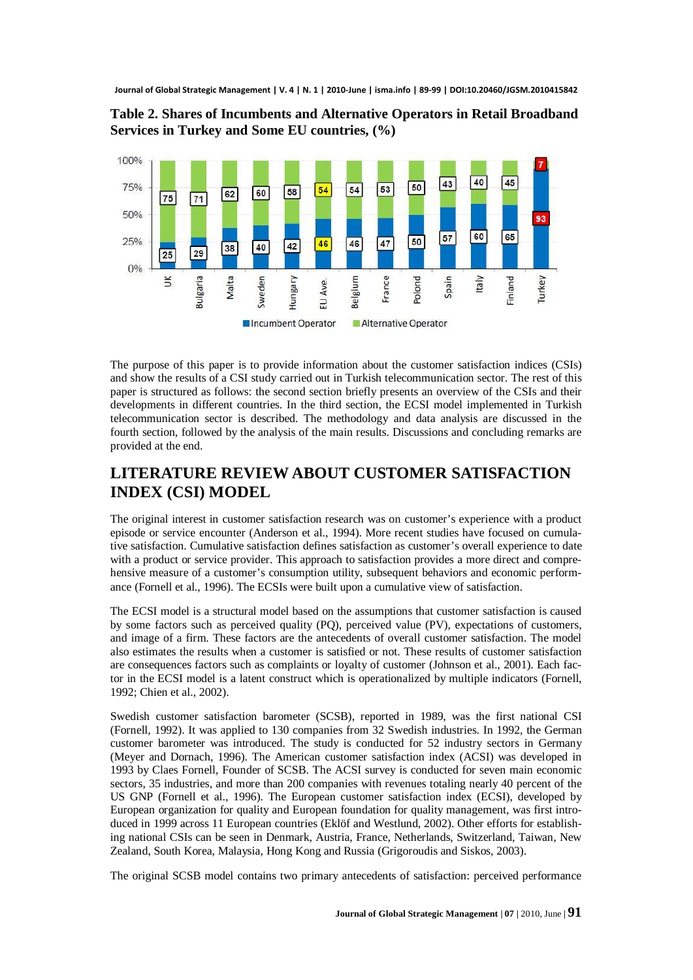



The purpose of this paper is to provide information about the customer satisfaction indices (CSIs) and show the results of a CSI study carried out in Turkish telecommunication sector. The rest of this paper is structured as follows: the second section briefly presents an overview of the CSIs and their developments in different countries. In the third section, the ECSI model implemented in Turkish telecommunication sector is described. The methodology and data analysis are discussed in the fourth section, followed by the analysis of the main results. Discussions and concluding remarks are provided at the end.

### **LITERATURE REVIEW ABOUT CUSTOMER SATISFACTION INDEX (CSI) MODEL**

The original interest in customer satisfaction research was on customer's experience with a product episode or service encounter (Anderson et al., 1994). More recent studies have focused on cumulative satisfaction. Cumulative satisfaction defines satisfaction as customer's overall experience to date with a product or service provider. This approach to satisfaction provides a more direct and comprehensive measure of a customer's consumption utility, subsequent behaviors and economic performance (Fornell et al., 1996). The ECSIs were built upon a cumulative view of satisfaction.

The ECSI model is a structural model based on the assumptions that customer satisfaction is caused by some factors such as perceived quality (PQ), perceived value (PV), expectations of customers, and image of a firm. These factors are the antecedents of overall customer satisfaction. The model also estimates the results when a customer is satisfied or not. These results of customer satisfaction are consequences factors such as complaints or loyalty of customer (Johnson et al., 2001). Each factor in the ECSI model is a latent construct which is operationalized by multiple indicators (Fornell, 1992; Chien et al., 2002).

Swedish customer satisfaction barometer (SCSB), reported in 1989, was the first national CSI (Fornell, 1992). It was applied to 130 companies from 32 Swedish industries. In 1992, the German customer barometer was introduced. The study is conducted for 52 industry sectors in Germany (Meyer and Dornach, 1996). The American customer satisfaction index (ACSI) was developed in 1993 by Claes Fornell, Founder of SCSB. The ACSI survey is conducted for seven main economic sectors, 35 industries, and more than 200 companies with revenues totaling nearly 40 percent of the US GNP (Fornell et al., 1996). The European customer satisfaction index (ECSI), developed by European organization for quality and European foundation for quality management, was first introduced in 1999 across 11 European countries (Eklöf and Westlund, 2002). Other efforts for establishing national CSIs can be seen in Denmark, Austria, France, Netherlands, Switzerland, Taiwan, New Zealand, South Korea, Malaysia, Hong Kong and Russia (Grigoroudis and Siskos, 2003).

The original SCSB model contains two primary antecedents of satisfaction: perceived performance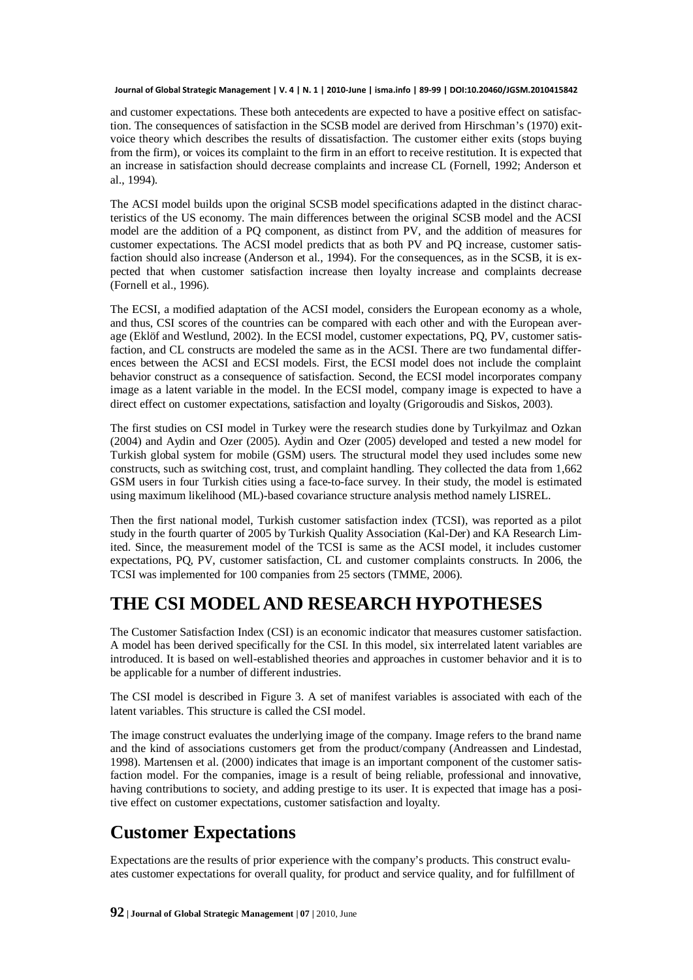and customer expectations. These both antecedents are expected to have a positive effect on satisfaction. The consequences of satisfaction in the SCSB model are derived from Hirschman's (1970) exitvoice theory which describes the results of dissatisfaction. The customer either exits (stops buying from the firm), or voices its complaint to the firm in an effort to receive restitution. It is expected that an increase in satisfaction should decrease complaints and increase CL (Fornell, 1992; Anderson et al., 1994).

The ACSI model builds upon the original SCSB model specifications adapted in the distinct characteristics of the US economy. The main differences between the original SCSB model and the ACSI model are the addition of a PQ component, as distinct from PV, and the addition of measures for customer expectations. The ACSI model predicts that as both PV and PQ increase, customer satisfaction should also increase (Anderson et al., 1994). For the consequences, as in the SCSB, it is expected that when customer satisfaction increase then loyalty increase and complaints decrease (Fornell et al., 1996).

The ECSI, a modified adaptation of the ACSI model, considers the European economy as a whole, and thus, CSI scores of the countries can be compared with each other and with the European average (Eklöf and Westlund, 2002). In the ECSI model, customer expectations, PQ, PV, customer satisfaction, and CL constructs are modeled the same as in the ACSI. There are two fundamental differences between the ACSI and ECSI models. First, the ECSI model does not include the complaint behavior construct as a consequence of satisfaction. Second, the ECSI model incorporates company image as a latent variable in the model. In the ECSI model, company image is expected to have a direct effect on customer expectations, satisfaction and loyalty (Grigoroudis and Siskos, 2003).

The first studies on CSI model in Turkey were the research studies done by Turkyilmaz and Ozkan (2004) and Aydin and Ozer (2005). Aydin and Ozer (2005) developed and tested a new model for Turkish global system for mobile (GSM) users. The structural model they used includes some new constructs, such as switching cost, trust, and complaint handling. They collected the data from 1,662 GSM users in four Turkish cities using a face-to-face survey. In their study, the model is estimated using maximum likelihood (ML)-based covariance structure analysis method namely LISREL.

Then the first national model, Turkish customer satisfaction index (TCSI), was reported as a pilot study in the fourth quarter of 2005 by Turkish Quality Association (Kal-Der) and KA Research Limited. Since, the measurement model of the TCSI is same as the ACSI model, it includes customer expectations, PQ, PV, customer satisfaction, CL and customer complaints constructs. In 2006, the TCSI was implemented for 100 companies from 25 sectors (TMME, 2006).

# **THE CSI MODEL AND RESEARCH HYPOTHESES**

The Customer Satisfaction Index (CSI) is an economic indicator that measures customer satisfaction. A model has been derived specifically for the CSI. In this model, six interrelated latent variables are introduced. It is based on well-established theories and approaches in customer behavior and it is to be applicable for a number of different industries.

The CSI model is described in Figure 3. A set of manifest variables is associated with each of the latent variables. This structure is called the CSI model.

The image construct evaluates the underlying image of the company. Image refers to the brand name and the kind of associations customers get from the product/company (Andreassen and Lindestad, 1998). Martensen et al. (2000) indicates that image is an important component of the customer satisfaction model. For the companies, image is a result of being reliable, professional and innovative, having contributions to society, and adding prestige to its user. It is expected that image has a positive effect on customer expectations, customer satisfaction and loyalty.

# **Customer Expectations**

Expectations are the results of prior experience with the company's products. This construct evaluates customer expectations for overall quality, for product and service quality, and for fulfillment of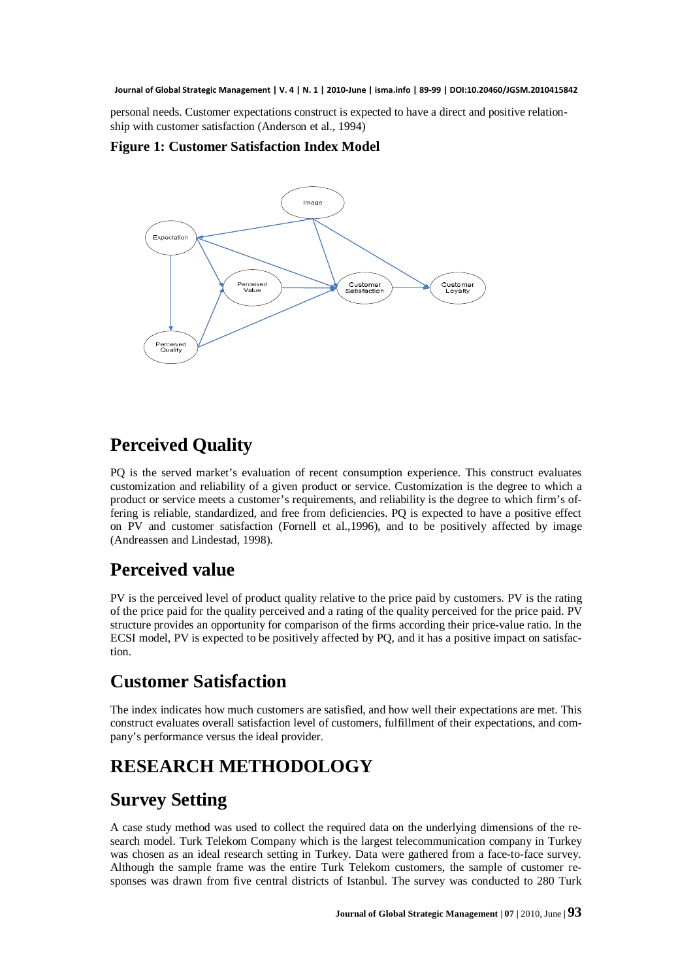personal needs. Customer expectations construct is expected to have a direct and positive relationship with customer satisfaction (Anderson et al., 1994)

#### **Figure 1: Customer Satisfaction Index Model**



# **Perceived Quality**

PQ is the served market's evaluation of recent consumption experience. This construct evaluates customization and reliability of a given product or service. Customization is the degree to which a product or service meets a customer's requirements, and reliability is the degree to which firm's offering is reliable, standardized, and free from deficiencies. PQ is expected to have a positive effect on PV and customer satisfaction (Fornell et al.,1996), and to be positively affected by image (Andreassen and Lindestad, 1998).

## **Perceived value**

PV is the perceived level of product quality relative to the price paid by customers. PV is the rating of the price paid for the quality perceived and a rating of the quality perceived for the price paid. PV structure provides an opportunity for comparison of the firms according their price-value ratio. In the ECSI model, PV is expected to be positively affected by PQ, and it has a positive impact on satisfaction.

# **Customer Satisfaction**

The index indicates how much customers are satisfied, and how well their expectations are met. This construct evaluates overall satisfaction level of customers, fulfillment of their expectations, and company's performance versus the ideal provider.

# **RESEARCH METHODOLOGY**

## **Survey Setting**

A case study method was used to collect the required data on the underlying dimensions of the research model. Turk Telekom Company which is the largest telecommunication company in Turkey was chosen as an ideal research setting in Turkey. Data were gathered from a face-to-face survey. Although the sample frame was the entire Turk Telekom customers, the sample of customer responses was drawn from five central districts of Istanbul. The survey was conducted to 280 Turk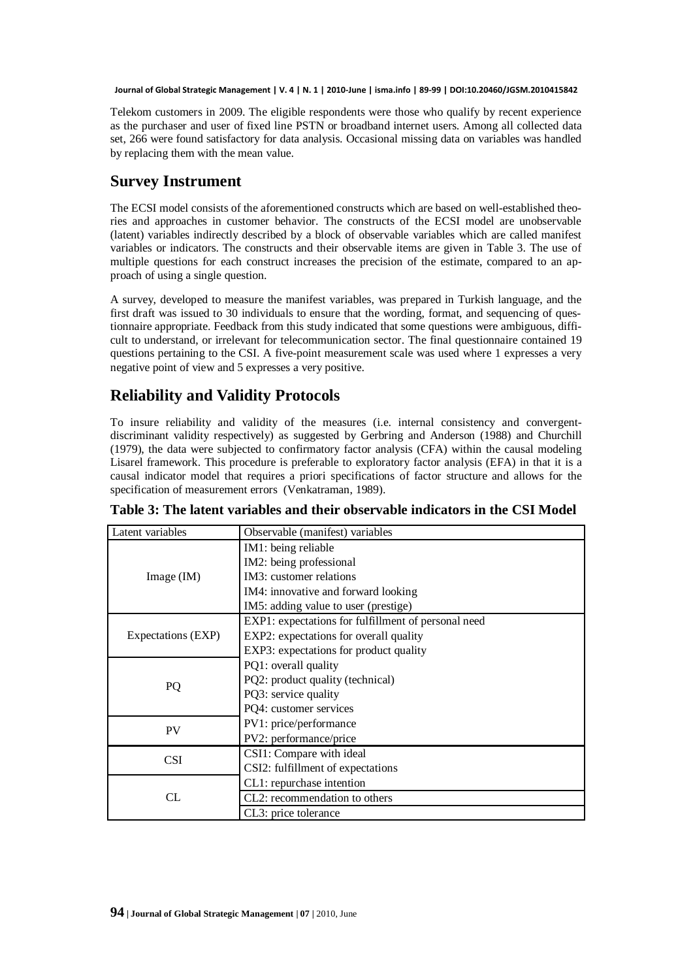Telekom customers in 2009. The eligible respondents were those who qualify by recent experience as the purchaser and user of fixed line PSTN or broadband internet users. Among all collected data set, 266 were found satisfactory for data analysis. Occasional missing data on variables was handled by replacing them with the mean value.

### **Survey Instrument**

The ECSI model consists of the aforementioned constructs which are based on well-established theories and approaches in customer behavior. The constructs of the ECSI model are unobservable (latent) variables indirectly described by a block of observable variables which are called manifest variables or indicators. The constructs and their observable items are given in Table 3. The use of multiple questions for each construct increases the precision of the estimate, compared to an approach of using a single question.

A survey, developed to measure the manifest variables, was prepared in Turkish language, and the first draft was issued to 30 individuals to ensure that the wording, format, and sequencing of questionnaire appropriate. Feedback from this study indicated that some questions were ambiguous, difficult to understand, or irrelevant for telecommunication sector. The final questionnaire contained 19 questions pertaining to the CSI. A five-point measurement scale was used where 1 expresses a very negative point of view and 5 expresses a very positive.

### **Reliability and Validity Protocols**

To insure reliability and validity of the measures (i.e. internal consistency and convergentdiscriminant validity respectively) as suggested by Gerbring and Anderson (1988) and Churchill (1979), the data were subjected to confirmatory factor analysis (CFA) within the causal modeling Lisarel framework. This procedure is preferable to exploratory factor analysis (EFA) in that it is a causal indicator model that requires a priori specifications of factor structure and allows for the specification of measurement errors (Venkatraman, 1989).

| Latent variables   | Observable (manifest) variables                     |  |  |  |  |  |
|--------------------|-----------------------------------------------------|--|--|--|--|--|
| Image $(IM)$       | IM1: being reliable                                 |  |  |  |  |  |
|                    | IM2: being professional                             |  |  |  |  |  |
|                    | IM3: customer relations                             |  |  |  |  |  |
|                    | IM4: innovative and forward looking                 |  |  |  |  |  |
|                    | IM5: adding value to user (prestige)                |  |  |  |  |  |
|                    | EXP1: expectations for fulfillment of personal need |  |  |  |  |  |
| Expectations (EXP) | EXP2: expectations for overall quality              |  |  |  |  |  |
|                    | EXP3: expectations for product quality              |  |  |  |  |  |
| PQ                 | PQ1: overall quality                                |  |  |  |  |  |
|                    | PQ2: product quality (technical)                    |  |  |  |  |  |
|                    | PQ3: service quality                                |  |  |  |  |  |
|                    | PQ4: customer services                              |  |  |  |  |  |
| <b>PV</b>          | PV1: price/performance                              |  |  |  |  |  |
|                    | PV2: performance/price                              |  |  |  |  |  |
| <b>CSI</b>         | CSI1: Compare with ideal                            |  |  |  |  |  |
|                    | CSI2: fulfillment of expectations                   |  |  |  |  |  |
| CL                 | CL1: repurchase intention                           |  |  |  |  |  |
|                    | CL2: recommendation to others                       |  |  |  |  |  |
|                    | CL3: price tolerance                                |  |  |  |  |  |

**Table 3: The latent variables and their observable indicators in the CSI Model**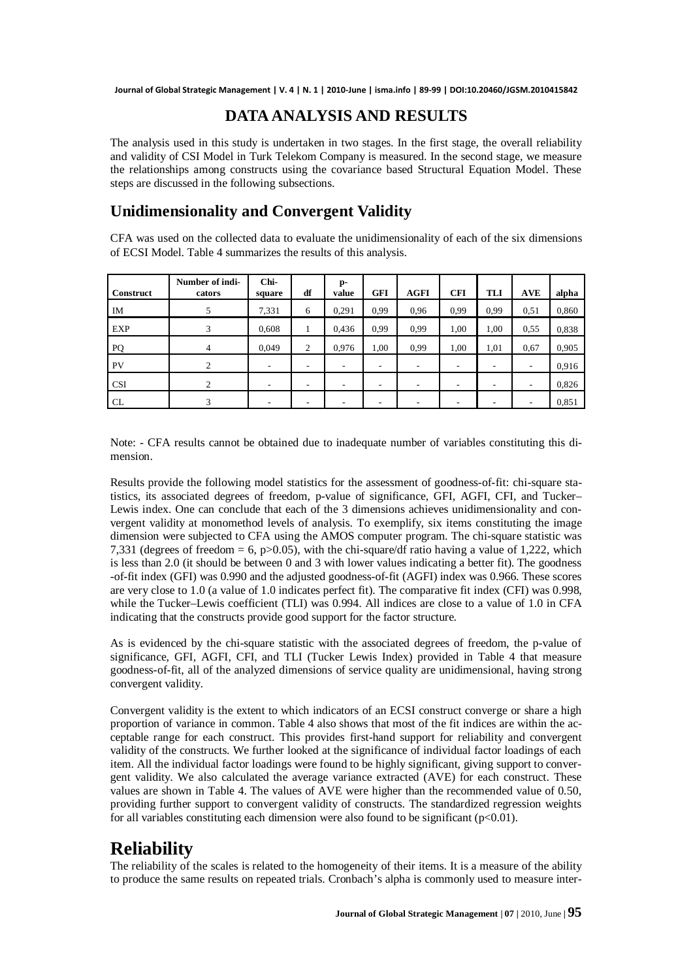### **DATA ANALYSIS AND RESULTS**

The analysis used in this study is undertaken in two stages. In the first stage, the overall reliability and validity of CSI Model in Turk Telekom Company is measured. In the second stage, we measure the relationships among constructs using the covariance based Structural Equation Model. These steps are discussed in the following subsections.

### **Unidimensionality and Convergent Validity**

CFA was used on the collected data to evaluate the unidimensionality of each of the six dimensions of ECSI Model. Table 4 summarizes the results of this analysis.

| Construct  | Number of indi-<br>cators | Chi-<br>square           | df | p-<br>value | GFI                      | <b>AGFI</b>              | <b>CFI</b>               | <b>TLI</b>               | <b>AVE</b>               | alpha |
|------------|---------------------------|--------------------------|----|-------------|--------------------------|--------------------------|--------------------------|--------------------------|--------------------------|-------|
| IM         | 5                         | 7,331                    | 6  | 0,291       | 0.99                     | 0,96                     | 0,99                     | 0,99                     | 0,51                     | 0,860 |
| <b>EXP</b> | 3                         | 0,608                    | -1 | 0,436       | 0.99                     | 0,99                     | 1,00                     | 1,00                     | 0,55                     | 0,838 |
| PQ         | 4                         | 0,049                    | 2  | 0,976       | 1,00                     | 0.99                     | 1,00                     | 1,01                     | 0,67                     | 0,905 |
| <b>PV</b>  | $\mathfrak{D}$            | $\overline{\phantom{a}}$ |    | -           | $\overline{\phantom{a}}$ | $\overline{\phantom{a}}$ | $\overline{\phantom{a}}$ | $\overline{\phantom{a}}$ | $\overline{\phantom{0}}$ | 0,916 |
| <b>CSI</b> | $\mathfrak{D}$            | $\overline{\phantom{a}}$ | -  | ۰           | $\overline{\phantom{a}}$ | $\overline{\phantom{a}}$ | -                        | $\overline{\phantom{a}}$ | $\overline{\phantom{0}}$ | 0,826 |
| CL         | 3                         |                          |    |             | -                        | ۰                        |                          | -                        | $\overline{\phantom{a}}$ | 0,851 |

Note: - CFA results cannot be obtained due to inadequate number of variables constituting this dimension.

Results provide the following model statistics for the assessment of goodness-of-fit: chi-square statistics, its associated degrees of freedom, p-value of significance, GFI, AGFI, CFI, and Tucker– Lewis index. One can conclude that each of the 3 dimensions achieves unidimensionality and convergent validity at monomethod levels of analysis. To exemplify, six items constituting the image dimension were subjected to CFA using the AMOS computer program. The chi-square statistic was 7,331 (degrees of freedom  $= 6$ , p $> 0.05$ ), with the chi-square/df ratio having a value of 1,222, which is less than 2.0 (it should be between 0 and 3 with lower values indicating a better fit). The goodness -of-fit index (GFI) was 0.990 and the adjusted goodness-of-fit (AGFI) index was 0.966. These scores are very close to 1.0 (a value of 1.0 indicates perfect fit). The comparative fit index (CFI) was 0.998, while the Tucker–Lewis coefficient (TLI) was 0.994. All indices are close to a value of 1.0 in CFA indicating that the constructs provide good support for the factor structure.

As is evidenced by the chi-square statistic with the associated degrees of freedom, the p-value of significance, GFI, AGFI, CFI, and TLI (Tucker Lewis Index) provided in Table 4 that measure goodness-of-fit, all of the analyzed dimensions of service quality are unidimensional, having strong convergent validity.

Convergent validity is the extent to which indicators of an ECSI construct converge or share a high proportion of variance in common. Table 4 also shows that most of the fit indices are within the acceptable range for each construct. This provides first-hand support for reliability and convergent validity of the constructs. We further looked at the significance of individual factor loadings of each item. All the individual factor loadings were found to be highly significant, giving support to convergent validity. We also calculated the average variance extracted (AVE) for each construct. These values are shown in Table 4. The values of AVE were higher than the recommended value of 0.50, providing further support to convergent validity of constructs. The standardized regression weights for all variables constituting each dimension were also found to be significant ( $p<0.01$ ).

# **Reliability**

The reliability of the scales is related to the homogeneity of their items. It is a measure of the ability to produce the same results on repeated trials. Cronbach's alpha is commonly used to measure inter-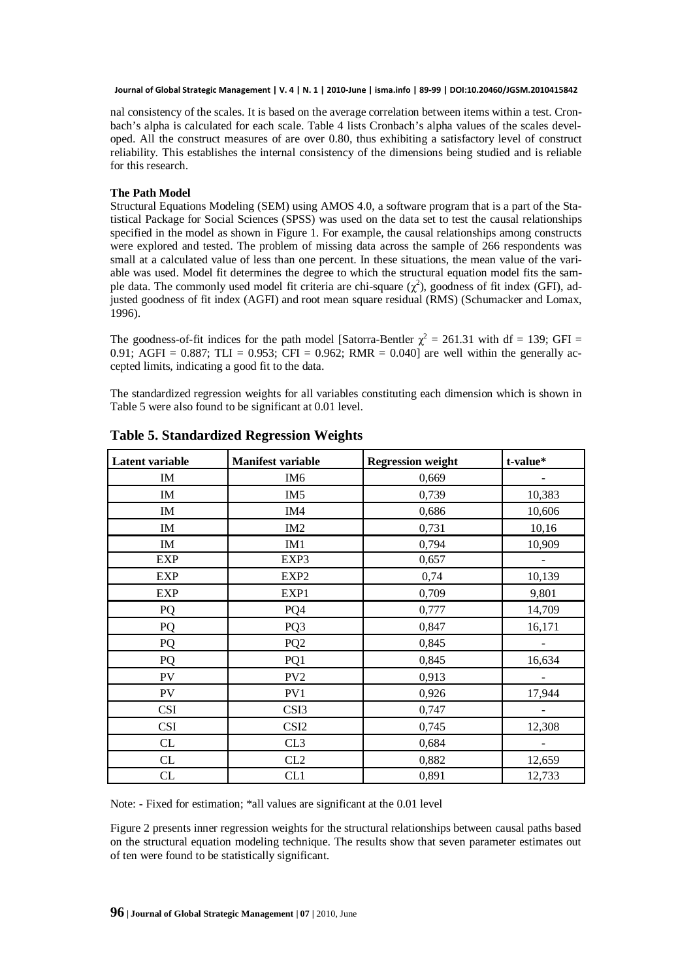nal consistency of the scales. It is based on the average correlation between items within a test. Cronbach's alpha is calculated for each scale. Table 4 lists Cronbach's alpha values of the scales developed. All the construct measures of are over 0.80, thus exhibiting a satisfactory level of construct reliability. This establishes the internal consistency of the dimensions being studied and is reliable for this research.

#### **The Path Model**

Structural Equations Modeling (SEM) using AMOS 4.0, a software program that is a part of the Statistical Package for Social Sciences (SPSS) was used on the data set to test the causal relationships specified in the model as shown in Figure 1. For example, the causal relationships among constructs were explored and tested. The problem of missing data across the sample of 266 respondents was small at a calculated value of less than one percent. In these situations, the mean value of the variable was used. Model fit determines the degree to which the structural equation model fits the sample data. The commonly used model fit criteria are chi-square  $(\chi^2)$ , goodness of fit index (GFI), adjusted goodness of fit index (AGFI) and root mean square residual (RMS) (Schumacker and Lomax, 1996).

The goodness-of-fit indices for the path model [Satorra-Bentler  $\chi^2 = 261.31$  with df = 139; GFI = 0.91; AGFI = 0.887; TLI = 0.953; CFI = 0.962; RMR = 0.040] are well within the generally accepted limits, indicating a good fit to the data.

The standardized regression weights for all variables constituting each dimension which is shown in Table 5 were also found to be significant at 0.01 level.

| Latent variable | <b>Manifest variable</b> | <b>Regression weight</b> | t-value*                 |
|-----------------|--------------------------|--------------------------|--------------------------|
| IM              | IM <sub>6</sub>          | 0,669                    |                          |
| IM              | IM <sub>5</sub>          | 0,739                    | 10,383                   |
| IM              | IM4                      | 0,686                    | 10,606                   |
| IM              | IM2                      | 0,731                    | 10,16                    |
| IM              | IM1                      | 0,794                    | 10,909                   |
| <b>EXP</b>      | EXP3                     | 0,657                    |                          |
| <b>EXP</b>      | EXP <sub>2</sub>         | 0,74                     | 10,139                   |
| <b>EXP</b>      | EXP1                     | 0,709                    | 9,801                    |
| PQ              | PQ4                      | 0,777                    | 14,709                   |
| PQ              | PQ3                      | 0,847                    | 16,171                   |
| PQ              | PQ <sub>2</sub>          | 0,845                    |                          |
| PQ              | PQ1                      | 0,845                    | 16,634                   |
| PV              | PV <sub>2</sub>          | 0,913                    |                          |
| <b>PV</b>       | PV1                      | 0,926                    | 17,944                   |
| <b>CSI</b>      | CSI <sub>3</sub>         | 0,747                    | $\overline{\phantom{0}}$ |
| <b>CSI</b>      | CSI <sub>2</sub>         | 0,745                    | 12,308                   |
| CL              | CL3                      | 0,684                    |                          |
| CL              | CL2                      | 0,882                    | 12,659                   |
| CL              | CL1                      | 0,891                    | 12,733                   |

**Table 5. Standardized Regression Weights**

Note: - Fixed for estimation; \*all values are significant at the 0.01 level

Figure 2 presents inner regression weights for the structural relationships between causal paths based on the structural equation modeling technique. The results show that seven parameter estimates out of ten were found to be statistically significant.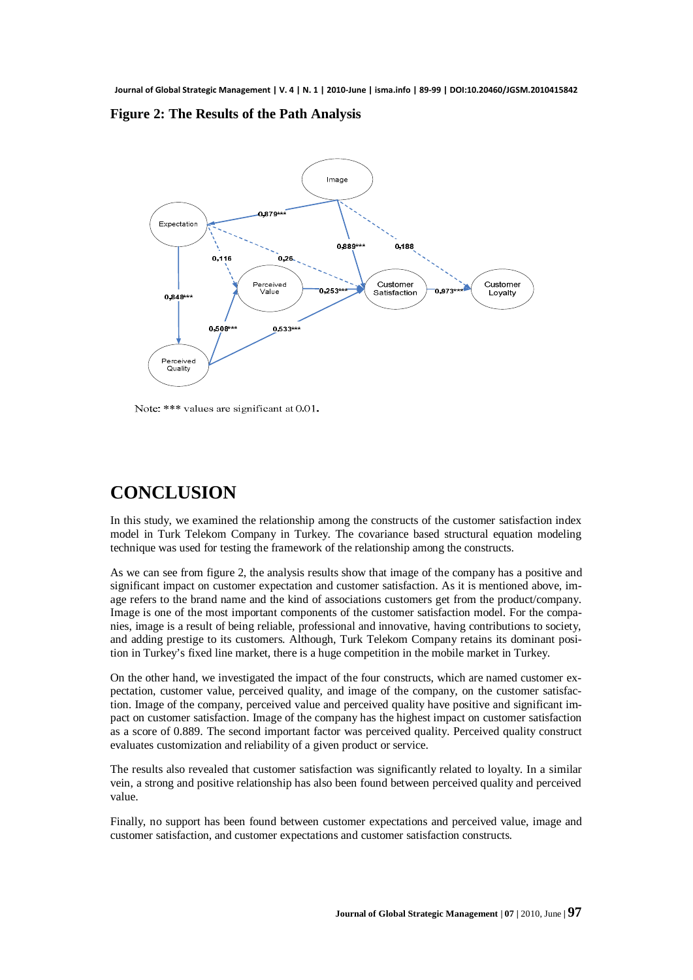



Note: \*\*\* values are significant at 0.01.

# **CONCLUSION**

In this study, we examined the relationship among the constructs of the customer satisfaction index model in Turk Telekom Company in Turkey. The covariance based structural equation modeling technique was used for testing the framework of the relationship among the constructs.

As we can see from figure 2, the analysis results show that image of the company has a positive and significant impact on customer expectation and customer satisfaction. As it is mentioned above, image refers to the brand name and the kind of associations customers get from the product/company. Image is one of the most important components of the customer satisfaction model. For the companies, image is a result of being reliable, professional and innovative, having contributions to society, and adding prestige to its customers. Although, Turk Telekom Company retains its dominant position in Turkey's fixed line market, there is a huge competition in the mobile market in Turkey.

On the other hand, we investigated the impact of the four constructs, which are named customer expectation, customer value, perceived quality, and image of the company, on the customer satisfaction. Image of the company, perceived value and perceived quality have positive and significant impact on customer satisfaction. Image of the company has the highest impact on customer satisfaction as a score of 0.889. The second important factor was perceived quality. Perceived quality construct evaluates customization and reliability of a given product or service.

The results also revealed that customer satisfaction was significantly related to loyalty. In a similar vein, a strong and positive relationship has also been found between perceived quality and perceived value.

Finally, no support has been found between customer expectations and perceived value, image and customer satisfaction, and customer expectations and customer satisfaction constructs.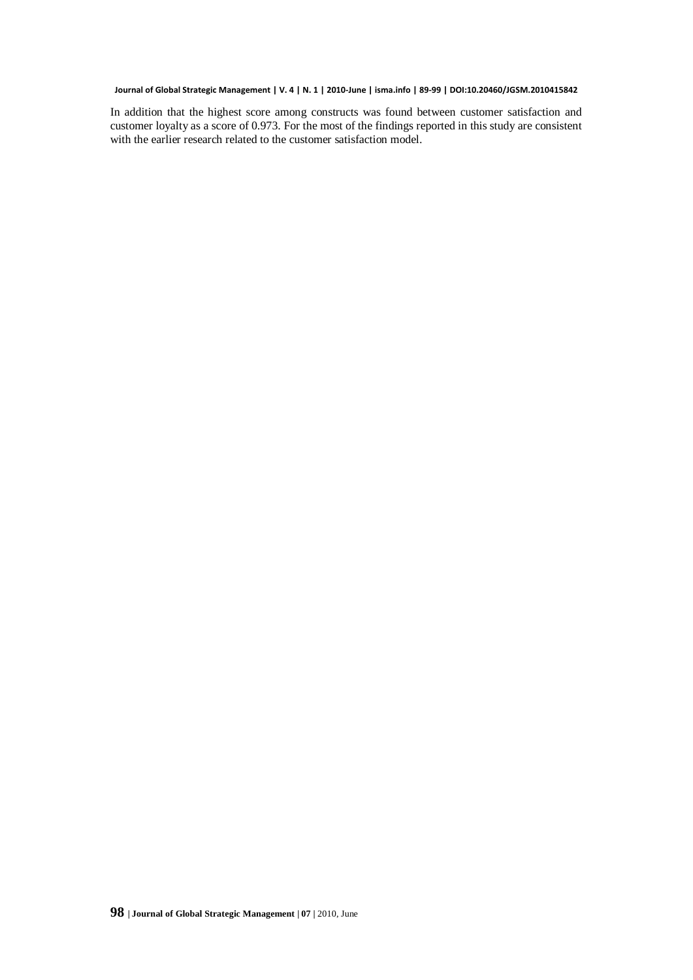In addition that the highest score among constructs was found between customer satisfaction and customer loyalty as a score of 0.973. For the most of the findings reported in this study are consistent with the earlier research related to the customer satisfaction model.